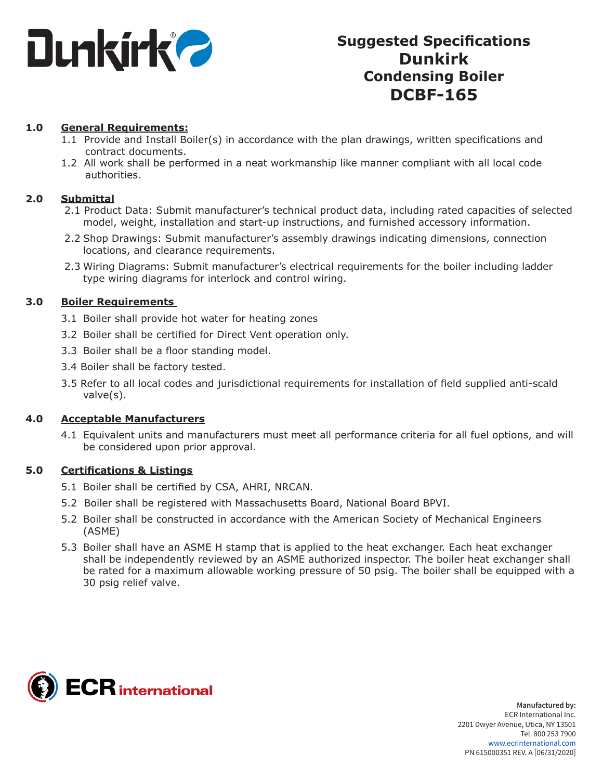

# **Suggested Specifications Dunkirk Condensing Boiler DCBF-165**

#### **1.0 General Requirements:**

- 1.1 Provide and Install Boiler(s) in accordance with the plan drawings, written specifications and contract documents.
- 1.2 All work shall be performed in a neat workmanship like manner compliant with all local code authorities.

#### **2.0 Submittal**

- 2.1 Product Data: Submit manufacturer's technical product data, including rated capacities of selected model, weight, installation and start-up instructions, and furnished accessory information.
- 2.2 Shop Drawings: Submit manufacturer's assembly drawings indicating dimensions, connection locations, and clearance requirements.
- 2.3 Wiring Diagrams: Submit manufacturer's electrical requirements for the boiler including ladder type wiring diagrams for interlock and control wiring.

#### **3.0 Boiler Requirements**

- 3.1 Boiler shall provide hot water for heating zones
- 3.2 Boiler shall be certified for Direct Vent operation only.
- 3.3 Boiler shall be a floor standing model.
- 3.4 Boiler shall be factory tested.
- 3.5 Refer to all local codes and jurisdictional requirements for installation of field supplied anti-scald valve(s).

#### **4.0 Acceptable Manufacturers**

4.1 Equivalent units and manufacturers must meet all performance criteria for all fuel options, and will be considered upon prior approval.

#### **5.0 Certifications & Listings**

- 5.1 Boiler shall be certified by CSA, AHRI, NRCAN.
- 5.2 Boiler shall be registered with Massachusetts Board, National Board BPVI.
- 5.2 Boiler shall be constructed in accordance with the American Society of Mechanical Engineers (ASME)
- 5.3 Boiler shall have an ASME H stamp that is applied to the heat exchanger. Each heat exchanger shall be independently reviewed by an ASME authorized inspector. The boiler heat exchanger shall be rated for a maximum allowable working pressure of 50 psig. The boiler shall be equipped with a 30 psig relief valve.

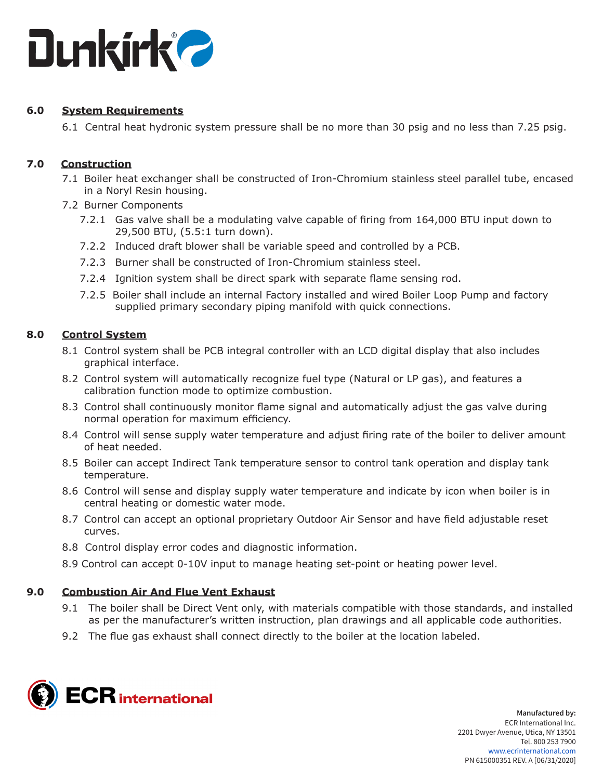

# **6.0 System Requirements**

6.1 Central heat hydronic system pressure shall be no more than 30 psig and no less than 7.25 psig.

# **7.0 Construction**

- 7.1 Boiler heat exchanger shall be constructed of Iron-Chromium stainless steel parallel tube, encased in a Noryl Resin housing.
- 7.2 Burner Components
	- 7.2.1 Gas valve shall be a modulating valve capable of firing from 164,000 BTU input down to 29,500 BTU, (5.5:1 turn down).
	- 7.2.2 Induced draft blower shall be variable speed and controlled by a PCB.
	- 7.2.3 Burner shall be constructed of Iron-Chromium stainless steel.
	- 7.2.4 Ignition system shall be direct spark with separate flame sensing rod.
	- 7.2.5 Boiler shall include an internal Factory installed and wired Boiler Loop Pump and factory supplied primary secondary piping manifold with quick connections.

# **8.0 Control System**

- 8.1 Control system shall be PCB integral controller with an LCD digital display that also includes graphical interface.
- 8.2 Control system will automatically recognize fuel type (Natural or LP gas), and features a calibration function mode to optimize combustion.
- 8.3 Control shall continuously monitor flame signal and automatically adjust the gas valve during normal operation for maximum efficiency.
- 8.4 Control will sense supply water temperature and adjust firing rate of the boiler to deliver amount of heat needed.
- 8.5 Boiler can accept Indirect Tank temperature sensor to control tank operation and display tank temperature.
- 8.6 Control will sense and display supply water temperature and indicate by icon when boiler is in central heating or domestic water mode.
- 8.7 Control can accept an optional proprietary Outdoor Air Sensor and have field adjustable reset curves.
- 8.8 Control display error codes and diagnostic information.
- 8.9 Control can accept 0-10V input to manage heating set-point or heating power level.

# **9.0 Combustion Air And Flue Vent Exhaust**

- 9.1 The boiler shall be Direct Vent only, with materials compatible with those standards, and installed as per the manufacturer's written instruction, plan drawings and all applicable code authorities.
- 9.2 The flue gas exhaust shall connect directly to the boiler at the location labeled.